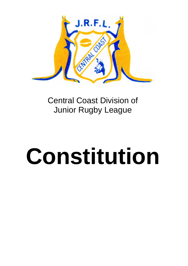

# Central Coast Division of Junior Rugby League

# **Constitution**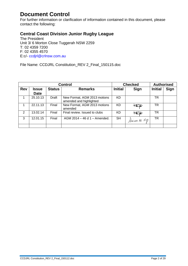# **Document Control**

For further information or clarification of information contained in this document, please contact the following:

### **Central Coast Division Junior Rugby League**

The President Unit 3/ 6 Morton Close Tuggerah NSW 2259 T: 02 4359 7200 F: 02 4355 4570 E:c/- ccdjrl@crlnsw.com.au

File Name: CCDJRL Constitution\_REV 2\_Final\_150115.doc

| <b>Control</b> |              |               |                                                         | <b>Checked</b> |                         | <b>Authorised</b> |      |
|----------------|--------------|---------------|---------------------------------------------------------|----------------|-------------------------|-------------------|------|
| <b>Rev</b>     | <b>Issue</b> | <b>Status</b> | <b>Remarks</b>                                          | <b>Initial</b> | Sign                    | <b>Initial</b>    | Sign |
|                | <b>Date</b>  |               |                                                         |                |                         |                   |      |
|                | 25.10.13     | Draft         | New Format, AGM 2013 motions<br>amended and highlighted | KD             |                         | TR                |      |
|                | 22.11.13     | Final         | New Format, AGM 2013 motions<br>amended                 | KD.            | $\overline{\mathbb{F}}$ | TR                |      |
| $\mathcal{P}$  | 13.02.14     | Final         | Final review. Issued to clubs                           | KD.            | $\frac{1}{\sqrt{2}}$    | TR                |      |
| 3              | 12.01.15     | Final         | AGM 2014 - 46 d 1 - Amended.                            | <b>SH</b>      | Humone M Hup            | TR                |      |
|                |              |               |                                                         |                |                         |                   |      |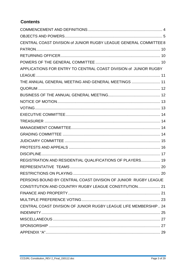## **Contents**

| CENTRAL COAST DIVISION of JUNIOR RUGBY LEAGUE GENERAL COMMITTEE 8 |  |
|-------------------------------------------------------------------|--|
|                                                                   |  |
|                                                                   |  |
|                                                                   |  |
| APPLICATIONS FOR ENTRY TO CENTRAL COAST DIVISION of JUNIOR RUGBY  |  |
|                                                                   |  |
| THE ANNUAL GENERAL MEETING AND GENERAL MEETINGS  11               |  |
|                                                                   |  |
|                                                                   |  |
|                                                                   |  |
|                                                                   |  |
|                                                                   |  |
|                                                                   |  |
|                                                                   |  |
|                                                                   |  |
|                                                                   |  |
|                                                                   |  |
|                                                                   |  |
| REGISTRATION AND RESIDENTIAL QUALIFICATIONS OF PLAYERS 19         |  |
|                                                                   |  |
|                                                                   |  |
| PERSONS BOUND BY CENTRAL COAST DIVISION OF JUNIOR RUGBY LEAGUE    |  |
| CONSTITUTION AND COUNTRY RUGBY LEAGUE CONSTITUTION 21             |  |
|                                                                   |  |
|                                                                   |  |
| CENTRAL COAST DIVISION OF JUNIOR RUGBY LEAGUE LIFE MEMBERSHIP 24  |  |
|                                                                   |  |
|                                                                   |  |
|                                                                   |  |
|                                                                   |  |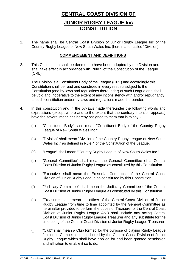# **CENTRAL COAST DIVISION OF**

# **JUNIOR RUGBY LEAGUE Inc CONSTITUTION**

1. The name shall be Central Coast Division of Junior Rugby League Inc of the Country Rugby League of New South Wales Inc. (herein after called "Division)

#### **COMMENCEMENT AND DEFINITIONS**

- 2. This Constitution shall be deemed to have been adopted by the Division and shall take effect in accordance with Rule 5 of the Constitution of the League (CRL).
- 3. The Division is a Constituent Body of the League (CRL) and accordingly this Constitution shall be read and construed in every respect subject to the Constitution (and by-laws and regulations thereunder) of such League and shall be void and inoperative to the extent of any inconsistency with and/or repugnancy to such constitution and/or by-laws and regulations made thereunder.
- 4. In this constitution and in the by-laws made thereunder the following words and expressions (except where and to the extent that the contrary intention appears) have the several meanings hereby assigned to them that is to say:-
	- (a) "Constituent Body" shall mean "Constituent Body of the Country Rugby League of New South Wales Inc."
	- (b) "Division" shall mean "Division of the Country Rugby League of New South Wales Inc." as defined in Rule 4 of the Constitution of the League.
	- (c) "League" shall mean "Country Rugby League of New South Wales Inc."
	- (d) "General Committee" shall mean the General Committee of a Central Coast Division of Junior Rugby League as constituted by this Constitution.
	- (e) "Executive" shall mean the Executive Committee of the Central Coast Division of Junior Rugby League as constituted by this Constitution.
	- (f) "Judiciary Committee" shall mean the Judiciary Committee of the Central Coast Division of Junior Rugby League as constituted by this Constitution.
	- (g) "Treasurer" shall mean the officer of the Central Coast Division of Junior Rugby League from time to time appointed by the General Committee as hereinafter provided to perform the duties of Treasurer of the Central Coast Division of Junior Rugby League AND shall include any acting Central Coast Division of Junior Rugby League Treasurer and any substitute for the time being of the Central Coast Division of Junior Rugby League Treasurer.
	- (j) "Club" shall mean a Club formed for the purpose of playing Rugby League football in Competitions conducted by the Central Coast Division of Junior Rugby League which shall have applied for and been granted permission and affiliation to enable it so to do.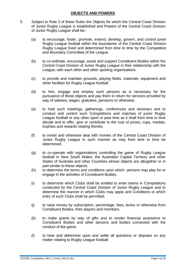#### **OBJECTS AND POWERS**

- 5. Subject to Rule 3 of these Rules the Objects for which the Central Coast Division of Junior Rugby League is established and Powers of the Central Coast Division of Junior Rugby League shall be:-
	- (a) to encourage, foster, promote, extend, develop, govern, and control junior Rugby League football within the boundaries of the Central Coast Division Rugby League fixed and determined from time to time by the Competition and Boundary Committee of the League.
	- (b) to co-ordinate, encourage, assist and support Constituent Bodies within the Central Coast Division of Junior Rugby League in their relationship with the League, with each other and other sporting organisations.
	- (c) to provide and maintain grounds, playing fields, materials, equipment and other facilities for Rugby League football.
	- (d) to hire, engage and employ such persons as is necessary for the pursuance of these objects and pay them in return for services provided by way of salaries, wages, gratuities, pensions or otherwise.
	- (e) to hold such meetings, gatherings, conferences and seminars and to conduct and control such Competitions and matches of junior Rugby League football or any other sport or past time as it shall from time to time decide and to offer, give or contribute to the cost of prizes, cups, medals, trophies and rewards relating thereto.
	- (f) to invest and otherwise deal with monies of the Central Coast Division of Junior Rugby League in such manner as may from time to time be determined.
	- (g) to co-operate with organisations controlling the game of Rugby League football in New South Wales, the Australian Capital Territory and other States of Australia and other Countries whose objects are altogether or in part similar to these objects.
	- (h) to determine the terms and conditions upon which persons may play for or engage in the activities of Constituent Bodies.
	- (i) to determine which Clubs shall be entitled to enter teams in Competitions conducted by the Central Coast Division of Junior Rugby League and to determine the manner in which Clubs may apply and Conditions or which entry of such Clubs shall be permitted.
	- (j) to raise money by subscription, percentage, fees, levies or otherwise from Constituent Bodies, their players and members.
	- (k) to make grants by way of gifts and to render financial assistance to Constituent Bodies and other persons and bodies connected with the conduct of the game.
	- (l) to hear and determine upon and settle all questions or disputes on any matter relating to Rugby League football.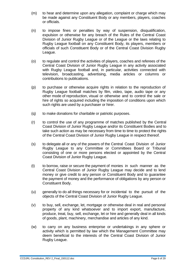- (m) to hear and determine upon any allegation, complaint or charge which may be made against any Constituent Body or any members, players, coaches or officials.
- (n) to impose fines or penalties by way of suspension, disqualification, expulsion or otherwise for any breach of the Rules of the Central Coast Division of Junior Rugby League or of the League or the laws relating to Rugby League football on any Constituent Body, its players, members or officials of such Constituent Body or of the Central Coast Division Rugby League.
- (o) to regulate and control the activities of players, coaches and referees of the Central Coast Division of Junior Rugby League in any activity associated with Rugby League football and, in particular, activities connected with television, broadcasting, advertising, media articles or columns or contributions to publications.
- (p) to purchase or otherwise acquire rights in relation to the reproduction of Rugby League football matches by film, video, tape, audio tape or any other mode of reproduction, visual or otherwise and to control the sale or hire of rights so acquired including the imposition of conditions upon which such rights are used by a purchaser or hirer.
- (q) to make donations for charitable or patriotic purposes.
- (r) to control the use of any programme of matches published by the Central Coast Division of Junior Rugby League and/or its Constituent Bodies and to take such action as may be necessary from time to time to protect the rights of the Central Coast Division of Junior Rugby League in respect thereof.
- (s) to delegate all or any of the powers of the Central Coast Division of Junior Rugby League to any Committee or Committees Board or Tribunal consisting of one or more persons elected or appointed by the Central Coast Division of Junior Rugby League.
- (t) to borrow, raise or secure the payment of monies in such manner as the Central Coast Division of Junior Rugby League may decide and to lend money or give credit to any person or Constituent Body and to guarantee the payment of money and the performance of obligations by any person or Constituent Body.
- (u) generally to do all things necessary for or incidental to the pursuit of the objects of the Central Coast Division of Junior Rugby League.
- (v) to buy, sell, exchange, let, mortgage or otherwise deal in real and personal property of any kind whatsoever and to import export, manufacture, produce, treat, buy, sell, exchange, let or hire and generally deal in all kinds of goods, plant, machinery, merchandise and articles of any kind.
- (w) to carry on any business enterprise or undertakings in any sphere or activity which is permitted by law which the Management Committee may deem beneficial to the interests of the Central Coast Division of Junior Rugby League.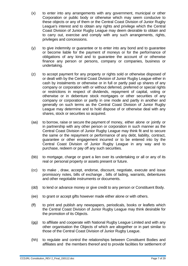- (x) to enter into any arrangements with any government, municipal or other Corporation or public body or otherwise which may seem conducive to these objects or any of them or the Central Coast Division of Junior Rugby League's interest and to obtain any rights and privilege which the Central Coast Division of Junior Rugby League may deem desirable to obtain and to carry out, exercise and comply with any such arrangements, rights, privileges and concessions.
- (y) to give indemnity or guarantee or to enter into any bond and to guarantee or become liable for the payment of moneys or for the performance of obligations of any kind and to guarantee the account of or otherwise finance any person or persons, company or companies, business or undertaking.
- (z) to accept payment for any property or rights sold or otherwise disposed of or dealt with by the Central Coast Division of Junior Rugby League either in cash by instalments or otherwise or in full or partly paid up shares of any company or corporation with or without deferred, preferred or special rights or restrictions in respect of dividends, repayment of capital, voting or otherwise or in debenture stock mortgages or other securities of any company or corporation or partly in one mode and partly in another and generally on such terms as the Central Coast Division of Junior Rugby League may determine and to hold dispose of or otherwise deal with any shares, stock or securities so acquired.
- (aa) to borrow, raise or secure the payment of money, either alone or jointly or in partnership with any other person or corporation in such manner as the Central Coast Division of Junior Rugby League may think fit and to secure the same or the repayment or performance of any debt, liability, contract, guarantee or other engagement incurred or to be entered into by the Central Coast Division of Junior Rugby League in any way and to purchase, redeem or pay off any such securities.
- (bb) to mortgage, charge or grant a lien over its undertaking or all or any of its real or personal property or assets present or future.
- (cc) to make , draw, accept, endorse, discount, negotiate, execute and issue promissory notes, bills of exchange , bills of lading, warrants, debentures and other negotiable instruments or documents.
- (dd) to lend or advance money or give credit to any person or Constituent Body.
- (ee) to grant or accept gifts however made either alone or with others.
- (ff) to print and publish any newspapers, periodicals, books or leaflets which the Central Coast Division of Junior Rugby League may think desirable for the promotion of its Objects.
- (gg) to affiliate and cooperate with National Rugby League Limited and with any other organisation the Objects of which are altogether or in part similar to those of the Central Coast Division of Junior Rugby League.
- (hh) to regulate and control the relationships between Constituent Bodies and affiliates and the members thereof and to provide facilities for settlement of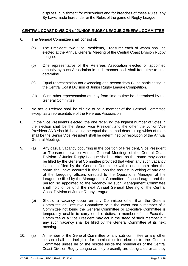disputes, punishment for misconduct and for breaches of these Rules, any By-Laws made hereunder or the Rules of the game of Rugby League.

#### **CENTRAL COAST DIVISION of JUNIOR RUGBY LEAGUE GENERAL COMMITTEE**

- 6. The General Committee shall consist of:
	- (a) The President, two Vice Presidents, Treasurer each of whom shall be elected at the Annual General Meeting of the Central Coast Division Rugby League.
	- (b) One representative of the Referees Association elected or appointed annually by such Association in such manner as it shall from time to time determine.
	- (c) Equal representation not exceeding one person from Clubs participating in the Central Coast Division of Junior Rugby League Competition.
	- (d) Such other representation as may from time to time be determined by the General Committee.
- 7. No active Referee shall be eligible to be a member of the General Committee except as a representative of the Referees Association.
- 8. Of the Vice Presidents elected, the one receiving the highest number of votes in the election shall be the Senior Vice President and the other the Junior Vice President AND should the voting be equal the method determining which of them shall be the Senior Vice President shall be determined by resolution of the Annual General Meeting.
- 9. (a) Any casual vacancy occurring in the position of President, Vice President or Treasurer between Annual General Meetings of the Central Coast Division of Junior Rugby League shall as often as the same may occur be filled by the General Committee provided that when any such vacancy is not so filled by the General Committee within one month after the same shall have occurred it shall upon the request in writing of any one of the foregoing officers directed to the Operations Manager of the League be filled by the Management Committee of such League and the person so appointed to the vacancy by such Management Committee shall hold office until the next Annual General Meeting of the Central Coast Division of Junior Rugby League.
	- (b) Should a vacancy occur on any Committee other than the General Committee or Executive Committee or in the event that a member of a Committee not being the General Committee or Executive Committee is temporarily unable to carry out his duties, a member of the Executive Committee or a Vice President may act in the stead of such member but any such vacancy shall be filled by the General Committee at its next meeting.
- 10. (a) A member of the General Committee or any sub committee or any other person shall be ineligible for nomination for election to the General Committee unless he or she resides inside the boundaries of the Central Coast Division Rugby League as they presently are designated or as they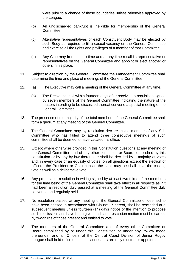were prior to a change of those boundaries unless otherwise approved by the League.

- (b) An undischarged bankrupt is ineligible for membership of the General Committee.
- (c) Alternative representatives of each Constituent Body may be elected by such Body as required to fill a casual vacancy on the General Committee and exercise all the rights and privileges of a member of that Committee.
- (d) Any Club may from time to time and at any time recall its representative or representatives on the General Committee and appoint or elect another or others in his place.
- 11. Subject to direction by the General Committee the Management Committee shall determine the time and place of meetings of the General Committee.
- 12. (a) The Executive may call a meeting of the General Committee at any time.
	- (b) The President shall within fourteen days after receiving a requisition signed by seven members of the General Committee indicating the nature of the matters intending to be discussed thereat convene a special meeting of the General Committee.
- 13. The presence of the majority of the total members of the General Committee shall form a quorum at any meeting of the General Committee.
- 14. The General Committee may by resolution declare that a member of any Sub Committee who has failed to attend three consecutive meetings of such committee shall be deemed to have vacated his office.
- 15. Except where otherwise provided in this Constitution questions at any meeting of the General Committee and of any other committee or Board established by this constitution or by any by-law thereunder shall be decided by a majority of votes and, in every case of an equality of votes, on all questions except the election of officers, the President or Chairman as the case may be shall have the casting vote as well as a deliberative vote.
- 16. Any proposal or resolution in writing signed by at least two-thirds of the members for the time being of the General Committee shall take effect in all respects as if it had been a resolution duly passed at a meeting of the General Committee duly convened and regularly held.
- 17. No resolution passed at any meeting of the General Committee or deemed to have been passed in accordance with Clause 17 hereof, shall be rescinded at a subsequent meeting unless fourteen (14) days notice of the intention to propose such rescission shall have been given and such rescission motion must be carried by two-thirds of those present and entitled to vote.
- 18. The members of the General Committee and of every other Committee or Board established by or under this Constitution or under any By-law made thereunder and all Officers of the Central Coast Division of Junior Rugby League shall hold office until their successors are duly elected or appointed.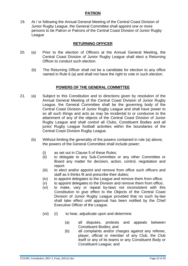#### **PATRON**

19. At / or following the Annual General Meeting of the Central Coast Division of Junior Rugby League, the General Committee shall appoint one or more persons to be Patron or Patrons of the Central Coast Division of Junior Rugby League

#### **RETURNING OFFICER**

- 20. (a) Prior to the election of Officers at the Annual General Meeting, the Central Coast Division of Junior Rugby League shall elect a Returning Officer to conduct such election.
	- (b) The Returning Officer shall not be a candidate for election to any office named in Rule 6 (a) and shall not have the right to vote in such election.

#### **POWERS OF THE GENERAL COMMITTEE**

- 21. (a) Subject to this Constitution and to directions given by resolution of the Annual General Meeting of the Central Coast Division of Junior Rugby League, the General Committee shall be the governing body of the Central Coast Division of Junior Rugby League and shall have power to so all such things and acts as may be incidental to or conducive to the attainment of any of the objects of the Central Coast Division of Junior Rugby League and shall control all Clubs, Constituent Bodies and all junior Rugby League football activities within the boundaries of the Central Coast Division Rugby League.
	- (b) Without limiting the generality of the powers contained in rule (a) above, the powers of the General Committee shall include power;
		- (i) as set out in Clause 5 of these Rules;
		- (ii) to delegate to any Sub-Committee or any other Committee or Board any matter for decision, action, control, negotiation and report:
		- (iii) to elect and/or appoint and remove from office such officers and staff as it thinks fit and prescribe their duties;
		- (iv) to appoint delegates to the League and remove them from office;
		- (v) to appoint delegates to the Division and remove them from office;
		- (vi) to make, vary or repeal by-laws not inconsistent with this Constitution to give effect to the Objects of the Central Coast Division of Junior Rugby League provided that no such by-law shall take effect until approval has been notified by the Chief Executive Officer of the League.
		- (vii) (I) to hear, adjudicate upon and determine
			- (a) all disputes, protests and appeals between Constituent Bodies; and
			- (b) all complaints and/or charges against any referee, player, official or member of any Club, the Club itself or any of its teams or any Constituent Body or Constituent League; and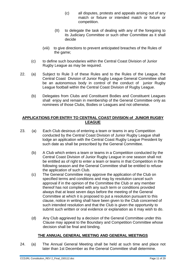- (c) all disputes, protests and appeals arising out of any match or fixture or intended match or fixture or competition.
- (II) to delegate the task of dealing with any of the foregoing to its Judiciary Committee or such other Committee as it shall decide
- (viii) to give directions to prevent anticipated breaches of the Rules of the game;
- (c) to define such boundaries within the Central Coast Division of Junior Rugby League as may be required.
- 22. (a) Subject to Rule 3 of these Rules and to the Rules of the League, the Central Coast Division of Junior Rugby League General Committee shall be an autonomous body in control of the conduct of junior Rugby League football within the Central Coast Division of Rugby League.
	- (b) Delegates from Clubs and Constituent Bodies and Constituent Leagues shall enjoy and remain in membership of the General Committee only as nominees of those Clubs, Bodies or Leagues and not otherwise.

#### **APPLICATIONS FOR ENTRY TO CENTRAL COAST DIVISION of JUNIOR RUGBY LEAGUE**

- 23. (a) Each Club desirous of entering a team or teams in any Competition conducted by the Central Coast Division of Junior Rugby League shall lodge an application with the Central Coast Rugby League President by such date as shall be prescribed by the General Committee.
	- (b) A Club which enters a team or teams in a Competition conducted by the Central Coast Division of Junior Rugby League in one season shall not be entitled as of right to enter a team or teams in that Competition in the following season and the General Committee shall be entitled to refuse the application of such Club.
	- (c) The General Committee may approve the application of the Club on specified terms and conditions and may by resolution cancel such approval if in the opinion of the Committee the Club or any member thereof has not complied with any such term or conditions provided always that at least seven days before the meeting of the General Committee at which it is proposed to put a resolution pursuant to this clause, notice in writing shall have been given to the Club concerned of such intended resolution and that the Club is given the opportunity to submit such written or oral evidence or explanation as it may wish to do.
	- (d) Any Club aggrieved by a decision of the General Committee under this Clause may appeal to the Boundary and Competition Committee whose decision shall be final and binding.

#### **THE ANNUAL GENERAL MEETING AND GENERAL MEETINGS**

24. (a) The Annual General Meeting shall be held at such time and place not later than 1st December as the General Committee shall determine.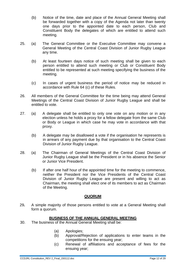- (b) Notice of the time, date and place of the Annual General Meeting shall be forwarded together with a copy of the Agenda not later than twenty one days prior to the appointed date to each person, Club and Constituent Body the delegates of which are entitled to attend such meeting.
- 25. (a) The General Committee or the Executive Committee may convene a General Meeting of the Central Coast Division of Junior Rugby League any time.
	- (b) At least fourteen days notice of such meeting shall be given to each person entitled to attend such meeting or Club or Constituent Body entitled to be represented at such meeting specifying the business of the meeting.
	- (c) In cases of urgent business the period of notice may be reduced in accordance with Rule 64 (c) of these Rules.
- 26. All members of the General Committee for the time being may attend General Meetings of the Central Coast Division of Junior Rugby League and shall be entitled to vote.
- 27. (a) A delegate shall be entitled to only one vote on any motion or in any election unless he holds a proxy for a fellow delegate from the same Club or Body or League in which case he may vote in accordance with that proxy.
	- (b) A delegate may be disallowed a vote if the organisation he represents is in arrears of any payment due by that organisation to the Central Coast Division of Junior Rugby League.
- 28. (a) The Chairman of General Meetings of the Central Coast Division of Junior Rugby League shall be the President or in his absence the Senior or Junior Vice President.
	- (b) If after one half hour of the appointed time for the meeting to commence, neither the President nor the Vice Presidents of the Central Coast Division of Junior Rugby League are present and willing to act as Chairman, the meeting shall elect one of its members to act as Chairman of the Meeting.

#### **QUORUM**

29**.** A simple majority of those persons entitled to vote at a General Meeting shall form a quorum.

#### **BUSINESS OF THE ANNUAL GENERAL MEETING**

- 30. The business of the Annual General Meeting shall be:
	- (a) Apologies;
	- (b) Approval/Rejection of applications to enter teams in the competitions for the ensuing year;
	- (c) Renewal of affiliations and acceptance of fees for the ensuing year;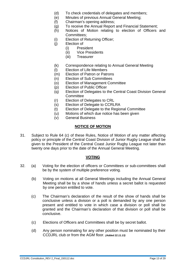- (d) To check credentials of delegates and members;
- (e) Minutes of previous Annual General Meeting;
- (f) Chairman's opening address;
- (g) To receive the Annual Report and Financial Statement;
- (h) Notices of Motion relating to election of Officers and Committees;
- (i) Election of Returning Officer;
- (j) Election of
	- (i) President
	- (ii) Vice Presidents
	- (iii) Treasurer
- (k) Correspondence relating to Annual General Meeting
- (l) Election of Life Members
- (m) Election of Patron or Patrons
- (n) Election of Sub Committees
- (o) Election of Management Committee
- (p) Election of Public Officer
- (q) Election of Delegates to the Central Coast Division General **Committee**
- (r) Election of Delegates to CRL
- (s) Election of Delegate to CCRLRA
- (t) Election of Delegate to the Regional Committee
- (u) Motions of which due notice has been given
- (v) General Business

#### **NOTICE OF MOTION**

31. Subject to Rule 64 (c) of these Rules, Notice of Motion of any matter affecting policy or principle of the Central Coast Division of Junior Rugby League shall be given to the President of the Central Coast Junior Rugby League not later than twenty one days prior to the date of the Annual General Meeting.

#### **VOTING**

- 32. (a) Voting for the election of officers or Committees or sub-committees shall be by the system of multiple preference voting.
	- (b) Voting on motions at all General Meetings including the Annual General Meeting shall be by a show of hands unless a secret ballot is requested by one person entitled to vote.
	- (c) The Chairman's declaration of the result of the show of hands shall be conclusive unless a division or a poll is demanded by any one person present and entitled to vote in which case a division or poll shall be granted and the Chairman's declaration of that division or poll shall be conclusive.
	- (c) Elections of Officers and Committees shall be by secret ballot.
	- (d) Any person nominating for any other position must be nominated by their CCDJRL club or from the AGM floor. *(Added 22.11.13)*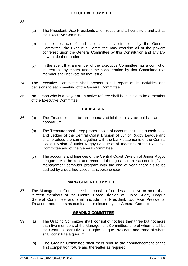- (a) The President, Vice Presidents and Treasurer shall constitute and act as the Executive Committee;
- (b) In the absence of and subject to any directions by the General Committee, the Executive Committee may exercise all of the powers conferred upon the General Committee by this Constitution and any By-Law made thereunder;
- (c) In the event that a member of the Executive Committee has a conflict of interest in any matter under the consideration by that Committee that member shall not vote on that issue.
- 34. The Executive Committee shall present a full report of its activities and decisions to each meeting of the General Committee.
- 35. No person who is a player or an active referee shall be eligible to be a member of the Executive Committee

#### **TREASURER**

- 36. (a) The Treasurer shall be an honorary official but may be paid an annual honorarium
	- (b) The Treasurer shall keep proper books of account including a cash book and Ledger of the Central Coast Division of Junior Rugby League and shall produce the same together with the bank statements of the Central Coast Division of Junior Rugby League at all meetings of the Executive Committee and of the General Committee.
	- (c) The accounts and finances of the Central Coast Division of Junior Rugby League are to be kept and recorded through a suitable accounting/cash management computer program with the end of year financials to be audited by a qualified accountant. *(Added 22.11.13)*

#### **MANAGEMENT COMMITTEE**

37. The Management Committee shall consist of not less than five or more than thirteen members of the Central Coast Division of Junior Rugby League General Committee and shall include the President, two Vice Presidents, Treasurer and others as nominated or elected by the General Committee.

#### **GRADING COMMITTEE**

- 39. (a) The Grading Committee shall consist of not less than three but not more than five members of the Management Committee, one of whom shall be the Central Coast Division Rugby League President and three of whom shall constitute a quorum;
	- (b) The Grading Committee shall meet prior to the commencement of the first competition fixture and thereafter as required;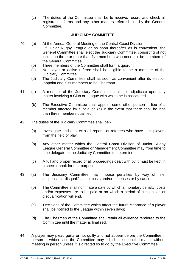(c) The duties of the Committee shall be to receive, record and check all registration forms and any other matters referred to it by the General Committee.

#### **JUDICIARY COMMITTEE**

- 40. (a) At the Annual General Meeting of the Central Coast Division Of Junior Rugby League or as soon thereafter as is convenient, the General Committee shall elect the Judiciary Committee, consisting of not less than three or more than five members who need not be members of the General Committee.
	- (b) Three members of the Committee shall form a quorum.
	- (c) No player or active referee shall be eligible to be a member of the Judiciary Committee
	- (d) The Judiciary Committee shall as soon as convenient after its election appoint one if its members to be Chairman
- 41. (a) A member of the Judiciary Committee shall not adjudicate upon any matter involving a Club or League with which he is associated.
	- (b) The Executive Committee shall appoint some other person in lieu of a member affected by subclause (a) in the event that there shall be less than three members qualified.
- 42. The duties of the Judiciary Committee shall be:-
	- (a) Investigate and deal with all reports of referees who have sent players from the field of play.
	- (b) Any other matter which the Central Coast Division of Junior Rugby League General Committee or Management Committee may from time to time delegate to the Judiciary Committee to determine.
	- (c) A full and proper record of all proceedings dealt with by it must be kept in a special book for that purpose.
- 43. (a) The Judiciary Committee may impose penalties by way of fine, suspension, disqualification, costs and/or expenses or by caution:
	- (b) The Committee shall nominate a date by which a monetary penalty, costs and/or expenses are to be paid or on which a period of suspension or disqualification will end.
	- (c) Decisions of the Committee which affect the future clearance of a player shall be notified to the League within seven days;
	- (d) The Chairman of the Committee shall retain all evidence tendered to the Committee until the matter is finalised.
- 44. A player may plead guilty or not guilty and not appear before the Committee in person in which case the Committee may adjudicate upon the matter without meeting in person unless it is directed so to do by the Executive Committee.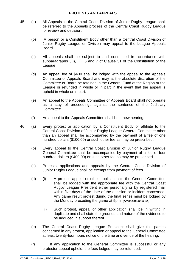#### **PROTESTS AND APPEALS**

- 45. (a) All Appeals to the Central Coast Division of Junior Rugby League shall be referred to the Appeals process of the Central Coast Rugby League for review and decision.
	- (b) A person or a Constituent Body other than a Central Coast Division of Junior Rugby League or Division may appeal to the League Appeals **Board**
	- (c) All appeals shall be subject to and conducted in accordance with subparagraphs 3(i), (ii) 5 and 7 of Clause 31 of the Constitution of the **League**
	- (d) An appeal fee of \$400 shall be lodged with the appeal to the Appeals Committee or Appeals Board and may at the absolute discretion of the Committee or Board be retained in the General Fund of the Region or the League or refunded in whole or in part in the event that the appeal is upheld in whole or in part.
	- (e) An appeal to the Appeals Committee or Appeals Board shall not operate as a stay of proceedings against the sentence of the Judiciary Committee.
	- (f) An appeal to the Appeals Committee shall be a new hearing.

46. (a) Every protest or application by a Constituent Body or affiliate to the Central Coast Division of Junior Rugby League General Committee other than an appeal shall be accompanied by the payment of a fee of one hundred dollars (\$100.00) or such other fee as may be prescribed.

- (b) Every appeal to the Central Coast Division of Junior Rugby League General Committee shall be accompanied by payment of a fee of four hundred dollars (\$400.00) or such other fee as may be prescribed.
- (c) Protests, applications and appeals by the Central Coast Division of Junior Rugby League shall be exempt from payment of fees.
- (d) (i) A protest, appeal or other application to the General Committee shall be lodged with the appropriate fee with the Central Coast Rugby League President either personally or by registered mail within five days of the date of the decision or incident concerned. Any game result protest during the final series must be lodged by the Monday preceding the game at 5pm. **(Amended 30.10.14)**
	- (ii) Such protest, appeal or other application shall be in writing in duplicate and shall state the grounds and nature of the evidence to be adduced in support thereof.
- (e) The Central Coast Rugby League President shall give the parties concerned in any protest, application or appeal to the General Committee at least twenty-four hours notice of the time and venue of the hearing.
- (f) If any application to the General Committee is successful or any protestor appeal upheld, the fees lodged may be refunded.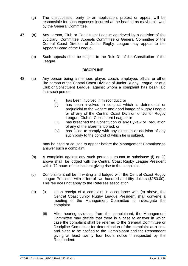- (g) The unsuccessful party to an application, protest or appeal will be responsible for such expenses incurred at the hearing as maybe allowed by the General Committee.
- 47. (a) Any person, Club or Constituent League aggrieved by a decision of the Judiciary Committee, Appeals Committee or General Committee of the Central Coast Division of Junior Rugby League may appeal to the Appeals Board of the League.
	- (b) Such appeals shall be subject to the Rule 31 of the Constitution of the League.

#### **DISCIPLINE**

- 48. (a) Any person being a member, player, coach, employee, official or other like person of the Central Coast Division of Junior Rugby League, or of a Club or Constituent League, against whom a complaint has been laid that such person:
	- (i) has been involved in misconduct; or
	- (ii) has been involved in conduct which is detrimental or prejudicial to the welfare and good image of Rugby League or of any of the Central Coast Division of Junior Rugby League, Club or Constituent League; or
	- (iii) has breached the Constitution or any By-law or Regulation of any of the aforementioned; or
	- (iv) has failed to comply with any direction or decision of any such body to the control of which he is subject,

 may be cited or caused to appear before the Management Committee to answer such a complaint.

- (b) A complaint against any such person pursuant to subclause (i) or (ii) above shall be lodged with the Central Coast Rugby League President within 72 hours of the incident giving rise to the complaint.
- (c) Complaints shall be in writing and lodged with the Central Coast Rugby League President with a fee of two hundred and fifty dollars (\$250.00). This fee does not apply to the Referees association
- (d) (i) Upon receipt of a complaint in accordance with (c) above, the Central Coast Junior Rugby League President shall convene a meeting of the Management Committee to investigate the complaint.
	- (ii) After hearing evidence from the complainant, the Management Committee may decide that there is a case to answer in which case the complaint shall be referred to the General Committee or Discipline Committee for determination of the complaint at a time and place to be notified to the Complainant and the Respondent giving at least twenty four hours notice if requested by the Respondent.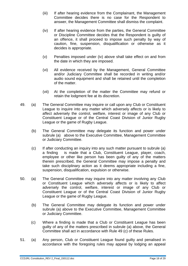- (iii) If after hearing evidence from the Complainant, the Management Committee decides there is no case for the Respondent to answer, the Management Committee shall dismiss the complaint.
- (iv) If after hearing evidence from the parties, the General Committee or Discipline Committee decides that the Respondent is guilty of an offence, it shall proceed to impose such penalty by way of caution, fine, suspension, disqualification or otherwise as it decides is appropriate.
- (v) Penalties imposed under (iv) above shall take effect on and from the date in which they are imposed.
- (vi) All evidence received by the Management, General Committee and/or Judiciary Committee shall be recorded in writing and/or audio sound equipment and shall be retained until the completion of the matter.
- (vii) At the completion of the matter the Committee may refund or retain the lodgment fee at its discretion.
- 49. (a) The General Committee may inquire or call upon any Club or Constituent League to inquire into any matter which adversely affects or is likely to affect adversely the control, welfare, interest or image of any Club or Constituent League or of the Central Coast Division of Junior Rugby League or the game of Rugby League.
	- (b) The General Committee may delegate its function and power under subrule (a) above to the Executive Committee, Management Committee or Judiciary Committee.
	- (c) If after conducting an inquiry into any such matter pursuant to subrule (a) a finding is made that a Club, Constituent League, player, coach, employee or other like person has been guilty of any of the matters therein prescribed, the General Committee may impose a penalty and take such disciplinary action as it deems appropriate including a fine, suspension, disqualification, expulsion or otherwise.
- 50. (a) The General Committee may inquire into any matter involving any Club or Constituent League which adversely affects or is likely to affect adversely the control, welfare, interest or image of any Club or Constituent League or of the Central Coast Division of Junior Rugby League or the game of Rugby League.
	- (b) The General Committee may delegate its function and power under subrule (a) above to the Executive Committee, Management Committee or Judiciary Committee.
	- (c) Where a finding is made that a Club or Constituent League has been guilty of any of the matters prescribed in subrule (a) above, the General Committee shall act in accordance with Rule 49 (c) of these Rules.
- 51. (a) Any person, Club or Constituent League found guilty and penalised in accordance with the foregoing rules may appeal by lodging an appeal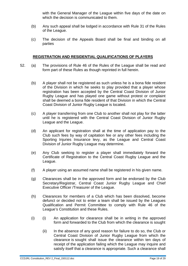with the General Manager of the League within five days of the date on which the decision is communicated to them.

- (b) Any such appeal shall be lodged in accordance with Rule 31 of the Rules of the League.
- (c) The decision of the Appeals Board shall be final and binding on all parties

#### **REGISTRATION AND RESIDENTIAL QUALIFICATIONS OF PLAYERS**

- 52. (a) The provisions of Rule 46 of the Rules of the League shall be read and form part of these Rules as though reprinted in full herein.
	- (b) A player shall not be registered as such unless he is a bona fide resident of the Division in which he seeks to play provided that a player whose registration has been accepted by the Central Coast Division of Junior Rugby League and has played one game without protest or complaint shall be deemed a bona fide resident of that Division in which the Central Coast Division of Junior Rugby League is located.
	- (c) A player transferring from one Club to another shall not play for the latter until he is registered with the Central Coast Division of Junior Rugby League and the League.
	- (d) An applicant for registration shall at the time of application pay to the Club such fees by way of capitation fee or any other fees including the Sporting Injuries Insurance levy, as the League and Central Coast Division of Junior Rugby League may determine.
	- (e) Any Club seeking to register a player shall immediately forward the Certificate of Registration to the Central Coast Rugby League and the League.
	- (f) A player using an assumed name shall be registered in his given name.
	- (g) Clearances shall be in the approved form and be endorsed by the Club Secretary/Registrar, Central Coast Junior Rugby League and Chief Executive Officer /Treasurer of the League.
	- (h) Clearances for members of a Club which has been dissolved, become defunct or decided not to enter a team shall be issued by the Leagues Qualification and Permit Committee to comply with Rule 46 of the League's Constitution and these Rules.
	- (i) (i) An application for clearance shall be in writing in the approved form and forwarded to the Club from which the clearance is sought
		- (ii) In the absence of any good reason for failure to do so, the Club or Central Coast Division of Junior Rugby League from which the clearance is sought shall issue the clearance within ten days of receipt of the application failing which the League may inquire and satisfy itself that a clearance is appropriate. Such a clearance shall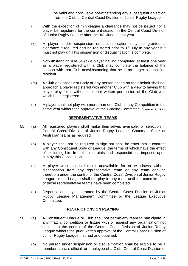be valid and conclusive notwithstanding any subsequent objection from the Club or Central Coast Division of Junior Rugby League

- (j) With the exception of mini-league a clearance may not be issued nor a player be registered for the current season in the Central Coast Division of Junior Rugby League after the  $30<sup>th</sup>$  June in that year.
- (k) A player under suspension or disqualification may be granted a clearance if required and be registered prior to 1<sup>st</sup> July in any year but must not play until his suspension or disqualification is complete.
- (l) Notwithstanding rule 54 (b) a player having completed at least one year as a player registered with a Club may complete the balance of the season with that Club notwithstanding that he is no longer a bona fide resident.
- (m) A Club or Constituent Body or any person acting on their behalf shall not approach a player registered with another Club with a view to having that player play for it without the prior written permission of the Club with which he is registered.
- (n) A player shall not play with more than one Club in any Competition in the same year without the approval of the Grading Committee. *(Amended 22.11.13)*

#### **REPRESENTATIVE TEAMS**

- 55. (a) All registered players shall make themselves available for selection in Central Coast Division of Junior Rugby League, Country , State or Australian teams as required.
	- (b) A player shall not be required to sign nor shall he enter into a contract with any Constituent Body or League, the terms of which have the effect of excluding him from the restraints and responsibilities imposed upon him by this Constitution.
	- (c) A player who makes himself unavailable for or withdraws without dispensation from any representative team or any team deriving therefrom under the control of the Central Coast Division of Junior Rugby League or the League shall not play in any team until the commitments of those representative teams have been completed.
	- (d) Dispensation may be granted by the Central Coast Division of Junior Rugby League Management Committee or the League Executive Committee.

#### **RESTRICTIONS ON PLAYING**

- 56. (a) A Constituent League or Club shall not permit any team to participate in any match, competition or fixture with or against any organisation not subject to the control of the Central Coast Division of Junior Rugby League without the prior written approval of the Central Coast Division of Junior Rugby League first had and obtained.
	- (b) No person under suspension or disqualification shall be eligible to be a member, coach, official, or employee of a Club, Central Coast Division of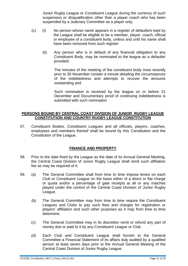Junior Rugby League or Constituent League during the currency of such suspension or disqualification other than a player coach who has been suspended by a Judiciary Committee as a player only.

- (c) (i) No person whose name appears in a register of defaulters kept by the League shall be eligible to be a member, player, coach, official or employee of a constituent body, unless and until his name shall have been removed from such register
	- (ii) Any person who is in default of any financial obligation to any Constituent Body, may be nominated to the league as a defaulter provided:

The minutes of the meeting of the constituent body most recently prior to 30 November contain a minute detailing the circumstances of the indebtedness and attempts to recover the amounts outstanding and

Such nomination is received by the league on or before 31 December and Documentary proof of continuing indebtedness is submitted with such nomination

#### **PERSONS BOUND BY CENTRAL COAST DIVISION OF JUNIOR RUGBY LEAGUE CONSTITUTION AND COUNTRY RUGBY LEAGUE CONSTITUTION**

57. Constituent Bodies, Constituent Leagues and all officials, players, coaches, employees and members thereof shall be bound by this Constitution and the Constitution of the League.

#### **FINANCE AND PROPERTY**

- 58. Prior to the date fixed by the League as the date of its Annual General Meeting, the Central Coast Division of Junior Rugby League shall remit such affiliation fee as may be required of it.
- 59. (a) The General Committee shall from time to time impose levies on each Club or Constituent League on the basis either of a direct or flat charge or quota and/or a percentage of gate receipts at all or any matches played under the control of the Central Coast Division of Junior Rugby League.
	- (b) The General Committee may from time to time require the Constituent Leagues and Clubs to pay such fees and charges for registration or players' affiliation and such other purposes as it may from time to time determine.
	- (c) The General Committee may in its discretion remit or refund any part of money due or paid to it by any Constituent League or Club.
	- (d) Each Club and Constituent League shall furnish to the General Committee a Financial Statement of its affairs duly audited by a qualified person at least seven days prior to the Annual General Meeting of the Central Coast Division of Junior Rugby League.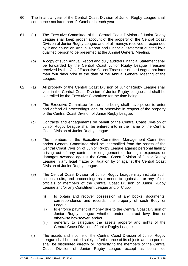- 60. The financial year of the Central Coast Division of Junior Rugby League shall commence not later than 1<sup>st</sup> October in each year.
- 61. (a) The Executive Committee of the Central Coast Division of Junior Rugby League shall keep proper account of the property of the Central Coast Division of Junior Rugby League and of all moneys received or expended by it and cause an Annual Report and Financial Statement audited by a qualified person to be presented at the Annual General Meeting.
	- (b) A copy of such Annual Report and duly audited Financial Statement shall be forwarded by the Central Coast Junior Rugby League Treasurer received by the Chief Executive Officer/Treasurer of the League not later than four days prior to the date of the Annual General Meeting of the League.
- 62. (a) All property of the Central Coast Division of Junior Rugby League shall vest in the Central Coast Division of Junior Rugby League and shall be controlled by the Executive Committee for the time being.
	- (b) The Executive Committee for the time being shall have power to enter and defend all proceedings legal or otherwise in respect of the property of the Central Coast Division of Junior Rugby League.
	- (c) Contracts and engagements on behalf of the Central Coast Division of Junior Rugby League shall be entered into in the name of the Central Coast Division of Junior Rugby League.
	- (d) The members of the Executive Committee, Management Committee and/or General Committee shall be indemnified from the assets of the Central Coast Division of Junior Rugby League against personal liability arising out of any contract or engagement or for legal expenses or damages awarded against the Central Coast Division of Junior Rugby League in any legal matter or litigation by or against the Central Coast Division of Junior Rugby League.
	- (e) The Central Coast Division of Junior Rugby League may institute such actions, suits, and proceedings as it needs to against all or any of the officials or members of the Central Coast Division of Junior Rugby League and/or any Constituent League and/or Club:-
		- (i) to obtain and recover possession of any books, documents, correspondence and records, the property of such Body or League;
		- (ii) to enforce payment of money due to the Central Coast Division of Junior Rugby League whether under contract levy fine or otherwise howsoever; and/or
		- (iii) generally to safeguard the assets property and rights of the Central Coast Division of Junior Rugby League
	- (f) The assets and income of the Central Coast Division of Junior Rugby League shall be applied solely in furtherance of its objects and no portion shall be distributed directly or indirectly to the members of the Central Coast Division of Junior Rugby League except as bona fide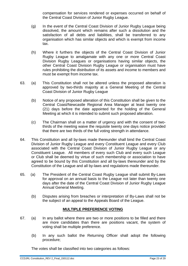compensation for services rendered or expenses occurred on behalf of the Central Coast Division of Junior Rugby League.

- (g) In the event of the Central Coast Division of Junior Rugby League being dissolved, the amount which remains after such a dissolution and the satisfaction of all debts and liabilities, shall be transferred to any organisation which has similar objects and which is exempt from income tax.
- (h) Where it furthers the objects of the Central Coast Division of Junior Rugby League to amalgamate with any one or more Central Coast Division Rugby Leagues or organisations having similar objects, the other Central Coast Division Rugby League or organisation must have rules prohibiting the distribution of its assets and income to members and must be exempt from income tax.
- 63. (a) This Constitution shall not be altered unless the proposed alteration is approved by two-thirds majority at a General Meeting of the Central Coast Division of Junior Rugby League
	- (b) Notice of any proposed alteration of this Constitution shall be given to the Central Coast/Newcastle Regional Area Manager at least twenty one (21) days before the date appointed for the holding of the General Meeting at which it is intended to submit such proposed alteration.
	- (c) The Chairman shall on a matter of urgency and with the consent of twothirds of the meeting waive the requisite twenty one days notice provided that there are two thirds of the full voting strength in attendance.
- 64. This Constitution and all by-laws made thereunder shall bind the Central Coast Division of Junior Rugby League and every Constituent League and every Club associated with the Central Coast Division of Junior Rugby League or any Constituent League. All members of every such Club and every such League or Club shall be deemed by virtue of such membership or association to have agreed to be bound by this Constitution and all by-laws thereunder and by the Constitution of the League and all by-laws and regulations made thereunder.
- 65. (a) The President of the Central Coast Rugby League shall submit By-Laws for approval on an annual basis to the League not later than twenty one days after the date of the Central Coast Division of Junior Rugby League Annual General Meeting.
	- (b) Disputes arising from breaches or interpretation of By-Laws shall not be the subject of an appeal to the Appeals Board of the League.

#### **MULTIPLE PREFERENCE VOTING**

- 67. (a) In any ballot where there are two or more positions to be filled and there are more candidates than there are positions vacant, the system of voting shall be multiple preference.
	- (b) In any such ballot the Returning Officer shall adopt the following procedure;

The votes shall be classified into two categories as follows:

CCDJRL Constitution\_REV 2\_Final\_150112.doc Page 23 of 29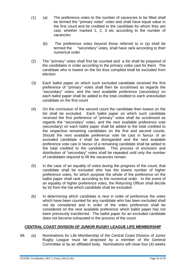- (1) (a) The preference votes to the number of vacancies to be filled shall be termed the "primary votes" votes and shall have equal value in the first count and be credited to the candidate for whom they are cast, whether marked 1, 2, 3 etc according to the number of vacancies
	- (b) The preference votes beyond those referred to in (a) shall be termed the "secondary" votes, shall have rank according to their numerical order
- (2) The "primary" votes shall first be counted and a list shall be prepared of the candidates in order according to the primary votes cast for them. The candidate who is lowest on the list thus compiled shall be excluded from election
- (3) Each ballot paper on which such excluded candidate received the first preference of "primary" votes shall then be scrutinised as regards the "secondary" votes, and the next available preference (secondary) on each ballot paper shall be added to the total credited to each unexcluded candidate on the first count
- (4) On the conclusion of the second count the candidate then lowest on the list shall be excluded. Each ballot paper on which such candidate received the first preference of "primary" votes shall be scrutinised as regards the "secondary" votes, and the next available preference vote (secondary) on each ballot paper shall be added to the total credited to the respective remaining candidates on the first and second counts. Should the next available preference vote be cast in favour of an excluded candidate it shall be disregarded and the next available preference vote cast in favour of a remaining candidate shall be added to the total credited to the candidate. This process of exclusion and distribution of "secondary" votes shall be repeated until only the number of candidates required to fill the vacancies remain.
- (5) In the case of an equality of votes during the progress of the count, that candidate shall be excluded who has the lowest number of higher preference votes, for which purpose the whole of the preference on the ballot paper shall rank according to the numerical order. In the event of an equality of higher preference votes, the Returning Officer shall decide by lot from the hat which candidate shall be excluded.
- (6) In determining which candidate is next in order of preference the votes which have been counted for any candidate who has been excluded shall not be considered and in order of the votes preference shall be considered on the next available preference which ballot paper has not been previously transferred. The ballot paper for an excluded candidate does not become exhausted in the process of the count.

#### **CENTRAL COAST DIVISION OF JUNIOR RUGBY LEAGUE LIFE MEMBERSHIP**

68. (a) Nominations for Life Membership of the Central Coast Division of Junior Rugby League must be proposed by a member of the General Committee or by an affiliated body. Nominations will close four (4) weeks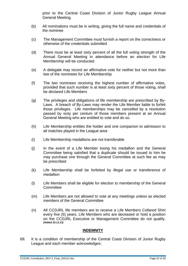prior to the Central Coast Division of Junior Rugby League Annual General Meeting.

- (b) All nominations must be in writing, giving the full name and credentials of the nominee
- (c) The Management Committee must furnish a report on the correctness or otherwise of the credentials submitted
- (d) There must be at least sixty percent of all the full voting strength of the Annual General Meeting in attendance before an election for Life Membership will be conducted
- (e) A delegate may record an affirmative vote for neither but not more than two of the nominees for Life Membership
- (f) The two nominees receiving the highest number of affirmative votes, provided that such number is at least sixty percent of those voting, shall be declared Life Members
- (g) The privileges and obligations of life membership are prescribed by By-Laws. A breach of By-Laws may render the Life Member liable to forfeit those privileges. Life memberships may be cancelled by a resolution passed by sixty per centum of those members present at an Annual General Meeting who are entitled to vote and do so.
- (h) Life Membership entitles the holder and one companion to admission to all matches played in the League area
- (i) Life Membership medallions are not transferable
- (j) In the event of a Life Member losing his medallion and the General Committee being satisfied that a duplicate should be issued to him he may purchase one through the General Committee at such fee as may be prescribed
- (k) Life Membership shall be forfeited by illegal use or transference of medallion
- (l) Life Members shall be eligible for election to membership of the General **Committee**
- (m) Life Members are not allowed to vote at any meetings unless as elected members of the General Committee
- (n) All CCDJRL life members are to receive a Life Members Collared Shirt every five (5) years. Life Members who are deceased or hold a position on the CCDJRL Executive or Management Committee do not qualify. *(Added 22.11.13)*

#### **INDEMNITY**

69. It is a condition of membership of the Central Coast Division of Junior Rugby League and each member acknowledges: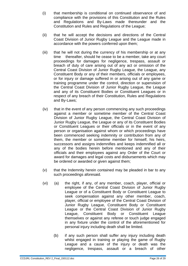- (i) that membership is conditional on continued observance of and compliance with the provisions of this Constitution and the Rules and Regulations and By-Laws made thereunder and the Constitution and Rules and Regulations of the League;
- (ii) that he will accept the decisions and directions of the Central Coast Division of Junior Rugby League and the League made in accordance with the powers conferred upon them;
- (iii) that he will not during the currency of his membership or at any time thereafter, should he cease to be a member, take any court proceedings for damages for negligence, trespass, assault or breach of duty of care arising out of any act or omission of the Central Coast Division of Junior Rugby League, the League, any Constituent Body or any of their members, officials or employees, or for injury or damage suffered in or arising out of any game or training programme under the control, direction or supervision of the Central Coast Division of Junior Rugby League, the League and any of its Constituent Bodies or Constituent Leagues or in respect of any breach of their Constitution, Rules and Regulations and By-Laws;
- (iv) that in the event of any person commencing any such proceedings against a member or sometime member of the Central Coast Division of Junior Rugby League, the Central Coast Division of Junior Rugby League, the League or any of its Constituent Bodies or Constituent Leagues or their officials or in the event of any person or organisation against whom or which proceedings have been commenced seeking indemnity or contribution from any of them, the member or sometime member for himself, his heirs, successors and assigns indemnifies and keeps indemnified all or any of the bodies herein before mentioned and any of their officials and their employees against any Order of the Court or award for damages and legal costs and disbursements which may be ordered or awarded or given against them;
- (v) that the Indemnity herein contained may be pleaded in bar to any such proceedings aforesaid.
- (vi) (a) the right, if any, of any member, coach, player, official or employee of the Central Coast Division of Junior Rugby League or of a Constituent Body or Constituent League to seek compensation against any other member, coach, player, official or employee of the Central Coast Division of Junior Rugby League, Constituent Body or Constituent League or the Central Coast Division of Junior Rugby League, Constituent Body or Constituent League themselves or against any referee or touch judge engaged in any fixture under the control of the aforementioned for personal injury including death shall be limited.
	- (b) if any such person shall suffer any injury including death whilst engaged in training or playing the game of Rugby League and a cause of the injury or death was the negligence, trespass, assault or a breach of other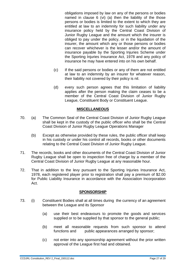obligations imposed by law on any of the persons or bodies named in clause 6 (vi) (a) then the liability of the those persons or bodies is limited to the extent to which they are entitled at law to an indemnity for such liability under any insurance policy held by the Central Coast Division of Junior Rugby League and the amount which the insurer is obliged to pay under the policy, or in the liquidation of the insurer, the amount which any or those persons or bodies can recover whichever is the lesser and/or the amount of insurance payable by the Sporting Injuries Scheme under the Sporting Injuries Insurance Act, 1978 and any policy of insurance he may have entered into on his own behalf.

- (c) If the said persons or bodies or any of them are not entitled at law to an indemnity by an insurer for whatever reason, their liability not covered by their policy is nil.
- (d) every such person agrees that this limitation of liability applies after the person making the claim ceases to be a member of the Central Coast Division of Junior Rugby League, Constituent Body or Constituent League.

#### **MISCELLANEOUS**

- 70. (a) The Common Seal of the Central Coast Division of Junior Rugby League shall be kept in the custody of the public officer who shall be the Central Coast Division of Junior Rugby League Operations Manager
	- (b) Except as otherwise provided by these rules, the public officer shall keep in his custody or under his control all records, books or other documents relating to the Central Coast Division of Junior Rugby League.
- 71. The records, books and other documents of the Central Coast Division of Junior Rugby League shall be open to inspection free of charge by a member of the Central Coast Division of Junior Rugby League at any reasonable hour.
- 72. That in addition to the levy pursuant to the Sporting Injuries Insurance Act, 1978, each registered player prior to registration shall pay a premium of \$2.00 for Public Liability Insurance in accordance with the Association Incorporation Act.

#### **SPONSORSHIP**

- 73. (i) Constituent Bodies shall at all times during the currency of an agreement between the League and its Sponsor
	- (a) use their best endeavours to promote the goods and services supplied or to be supplied by that sponsor to the general public;
	- (b) meet all reasonable requests from such sponsor to attend functions and public appearances arranged by sponsor;
	- (c) not enter into any sponsorship agreement without the prior written approval of the League first had and obtained.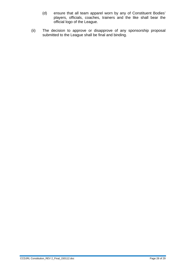- (d) ensure that all team apparel worn by any of Constituent Bodies' players, officials, coaches, trainers and the like shall bear the official logo of the League.
- (ii) The decision to approve or disapprove of any sponsorship proposal submitted to the League shall be final and binding.